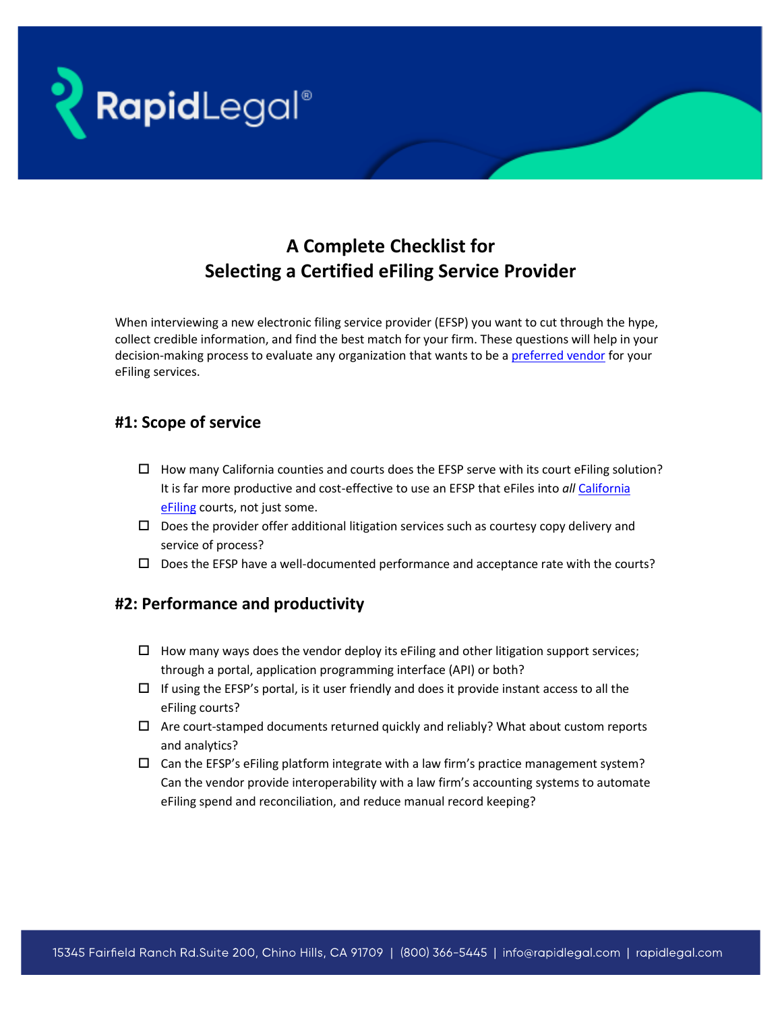

# **A Complete Checklist for Selecting a Certified eFiling Service Provider**

When interviewing a new electronic filing service provider (EFSP) you want to cut through the hype, collect credible information, and find the best match for your firm. These questions will help in your decision-making process to evaluate any organization that wants to be [a preferred vendor](https://rapidlegal.com/how-law-firms-can-get-better-efiling-pricing-and-service-with-a-single-preferred-provider/) for your eFiling services.

## **#1: Scope of service**

- $\Box$  How many California counties and courts does the EFSP serve with its court eFiling solution? It is far more productive and cost-effective to use an EFSP that eFiles into *all* [California](https://rapidlegal.com/efiling/)  [eFiling](https://rapidlegal.com/efiling/) courts, not just some.
- $\Box$  Does the provider offer additional litigation services such as courtesy copy delivery and service of process?
- $\square$  Does the EFSP have a well-documented performance and acceptance rate with the courts?

## **#2: Performance and productivity**

- $\Box$  How many ways does the vendor deploy its eFiling and other litigation support services; through a portal, application programming interface (API) or both?
- $\Box$  If using the EFSP's portal, is it user friendly and does it provide instant access to all the eFiling courts?
- $\Box$  Are court-stamped documents returned quickly and reliably? What about custom reports and analytics?
- $\square$  Can the EFSP's eFiling platform integrate with a law firm's practice management system? Can the vendor provide interoperability with a law firm's accounting systems to automate eFiling spend and reconciliation, and reduce manual record keeping?